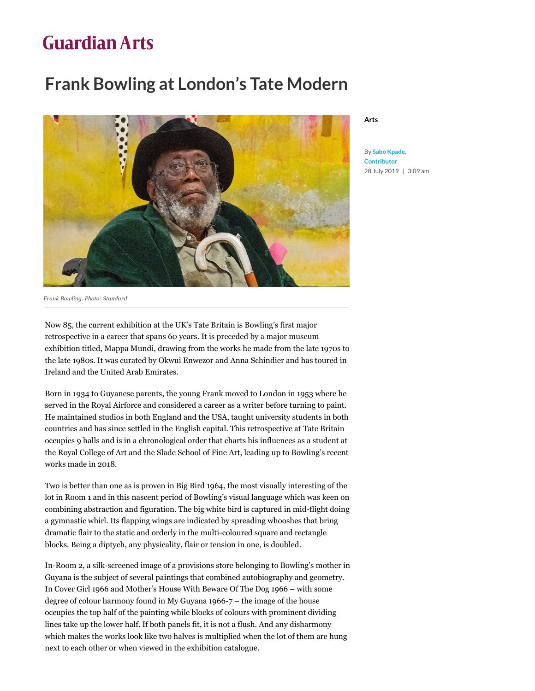## **Guardian Arts**

## **Frank Bowling at London's Tate Modern**



**[Arts](https://guardian.ng/category/art/c74-arts/)** 

**By Sabo Kpade, Contributor** 28 July 2019 | 3:09 a[m](https://www.pressreader.com/nigeria/the-guardian-nigeria/)

*Frank Bowling. Photo: Standard*

Now 85, the current exhibition at the UK's Tate Britain is Bowling's first major retrospective in a career that spans 60 years. It is preceded by a major museum exhibition titled, Mappa Mundi, drawing from the works he made from the late 1970s to the late 1980s. It was curated by Okwui Enwezor and Anna Schindier and has toured in Ireland and the United Arab Emirates.

Born in 1934 to Guyanese parents, the young Frank moved to London in 1953 where he served in the Royal Airforce and considered a career as a writer before turning to paint. He maintained studios in both England and the USA, taught university students in both countries and has since settled in the English capital. This retrospective at Tate Britain occupies 9 halls and is in a chronological order that charts his influences as a student at the Royal College of Art and the Slade School of Fine Art, leading up to Bowling's recent works made in 2018.

Two is better than one as is proven in Big Bird 1964, the most visually interesting of the lot in Room 1 and in this nascent period of Bowling's visual language which was keen on combining abstraction and figuration. The big white bird is captured in mid-flight doing a gymnastic whirl. Its flapping wings are indicated by spreading whooshes that bring dramatic flair to the static and orderly in the multi-coloured square and rectangle blocks. Being a diptych, any physicality, flair or tension in one, is doubled.

In-Room 2, a silk-screened image of a provisions store belonging to Bowling's mother in Guyana is the subject of several paintings that combined autobiography and geometry. In Cover Girl 1966 and Mother's House With Beware Of The Dog 1966 – with some degree of colour harmony found in My Guyana 1966-7 – the image of the house occupies the top half of the painting while blocks of colours with prominent dividing lines take up the lower half. If both panels fit, it is not a flush. And any disharmony which makes the works look like two halves is multiplied when the lot of them are hung next to each other or when viewed in the exhibition catalogue.